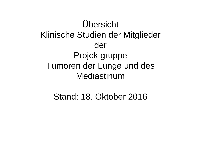Übersicht Klinische Studien der Mitglieder derProjektgruppe Tumoren der Lunge und desMediastinum

Stand: 18. Oktober 2016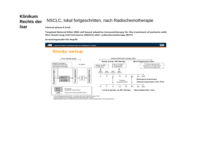#### **Klinikum** NSCLC, lokal fortgeschritten, nach Radiochemotherapie **Rechts der Isar**

**Clinical phase II trail:** 

Targeted Natural Killer (NK) cell based adoptive immunotherapy for the treatment of patients with Non-Small Lung Cell Carcinoma (NSCLC) after radiochemotherapy (RCT)

#### Screeningstudie für Hsp70



#### **Study setup**



Immunological assessment: 4 weeks after last treatment day of RCT

Turnor assessment: 4 weeks after last treatment day of RCT

Eligible patients will be randomised to either study or control group after tumor assessment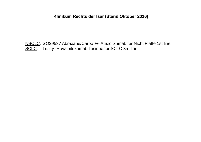#### Klinikum Rechts der Isar (Stand Oktober 2016)

NSCLC: GO29537 Abraxane/Carbo +/- Atezolizumab für Nicht Platte 1st line SCLC: Trinity- Rovalpituzumab Tesirine für SCLC 3rd line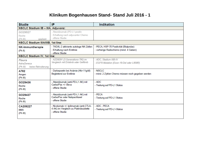### **Klinikum Bogenhausen Stand- Stand Juli 2016 - <sup>1</sup>**

| <b>Studie</b>                                                     | IP                                                                                                 | <b>Indikation</b>                                                                |
|-------------------------------------------------------------------|----------------------------------------------------------------------------------------------------|----------------------------------------------------------------------------------|
| NSCLC Stadium IB - IIIA, Adjuvanz:                                |                                                                                                    |                                                                                  |
| GO29527<br>Roche<br>geplant<br>(Ph III)                           | - Atezolizumab (PD-L1 positiv<br>- Erhaltung nach adjuvanter Chemo<br>- offene Studie              |                                                                                  |
| <b>NSCLC Stadium IIIA/IIIB, 1st line:</b>                         |                                                                                                    |                                                                                  |
| NK-Immuntherapie<br>(Ph II)<br><b>NSCLC Stadium IV, 1st line:</b> | - TKD/IL-2 aktivierte autologe NK-Zellen<br>- Erhaltung nach Erstlinie<br>- offene Studie          | - PECA, HSP-70 Positivität (Blutprobe)<br>- vorherige Radiochemo (mind. 4 Gaben) |
| <b>Flaura</b><br>AstraZeneca<br>(Ph III)<br>keine Rekrutierung    | - AZD9291 (3. Generations-TKI) im<br>Vergleich mit Erlotinib oder Gefitinib                        | - ADC, Stadium IIIB-IV<br>- EGFR-Mutation (Exon-19-Del oder L858R)               |
| A782<br>Amgen<br>(Ph III)                                         | - Darbepoetin bei Anämie (Hb<11g/dl)<br><b>Begleitend zur Erstlinie</b>                            | - NSCLC<br>- mind. 2 Zyklen Chemo müssen noch gegeben werden                     |
| GO29436<br>Roche<br>(Ph III)                                      | - Atezolizumab (anti-PD-L1 AK) mit<br>Carbo/Pac +/- Beva<br>- offene Studie                        | - ADC<br>- Testung auf PD-L1 Status                                              |
| GO29437<br>Roche<br>(Ph III)                                      | - Atezolizumab (anti-PD-L1 AK) mit<br>Carbo/Pac oder Nabpaclitaxel<br>- offene Studie              | - PECA<br>- Testung auf PD-L1 Status                                             |
| CA209227<br><b>BMS</b><br>(Ph III)                                | - Nivolumab +/- Ipilimumab (anti-CTLA-<br>4 AK) im Vergleich zu Platindoublette<br>- offene Studie | - ADC, PECA<br>- Testung auf PD-L1-Status                                        |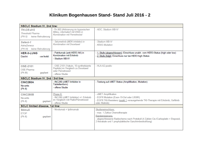#### **Klinikum Bogenhausen Stand- Stand Juli 2016 - <sup>2</sup>**

| <b>NSCLC Stadium IV, 2nd line:</b>                                           |                                                                                                                   |                                                                                                                                                                         |
|------------------------------------------------------------------------------|-------------------------------------------------------------------------------------------------------------------|-------------------------------------------------------------------------------------------------------------------------------------------------------------------------|
| <b>TH-CR-415</b><br><b>Threshold Pharma</b><br>keine Rekrutierung<br>(PH II) | -Th-302 (Aktivierung im hypoxischen<br>Milieu, interkaliert mit DNA) in<br><b>Kombination mit Pemetrexed</b>      | - ADC, Stadium IIIB-IV                                                                                                                                                  |
| Select-1<br>Astra7eneca<br>(PH III)<br>keine Rekrutierung                    | - Selumetinib (MEK-Inhibitor) in<br><b>Kombination mit Docetaxel</b>                                              | - Stadium IIIB-IV<br>- KRAS Mutation                                                                                                                                    |
| <b>HER-3-LUNG</b><br>- on hold-<br>Daichii                                   | - Patritumab (anti-HER3 AK) in<br>Kombination mit Erlotinib<br>- Stadium IIIB-IV                                  | - 1. Stufe (abgeschlossen): Einschluss unabh. vom HER3-Status (high oder low)<br>- 2. Stufe (folgt): Einschluss nur bei HER3 high Status                                |
| OSE-2101<br>OSE-Pharma<br>(Ph III)<br>geplant                                | - OSE-2101 (Vakzin, 10 synthetisierte<br>Peptide) im Vergleich zu Docetaxel<br>oder Pemetrexed<br>- offene Studie | - HLA-A2 positiv                                                                                                                                                        |
| NSCLC Stadium IV, 2nd / 3rd line:                                            |                                                                                                                   |                                                                                                                                                                         |
| <b>CINC280A</b><br>Novartis<br>(Ph II)                                       | - INC280 (cMET-Inhibitor in<br>Tablettenform)<br>- offene Studie                                                  | - Testung auf cMET Status (Amplifikation, Mutation)                                                                                                                     |
|                                                                              |                                                                                                                   |                                                                                                                                                                         |
| <b>CINC280B</b><br><b>Novartis</b><br>(Ph II)<br>geplant                     | Phase II:<br>- INC280 (cMET-Inhibitor) +/- Erlotinib<br>im Vergleich mit Platin/Pemetrexed<br>- offene Studie     | - cMET Amplifikation<br>- EGFR Mutation (Exon-19-Del oder L858R)<br>- EGFR TKI-Resistenz (exakt 1 vorausgehende TKI-Therapie mit Erlobinib, Gefitinib<br>oder Afatinib) |
| SCLC limited disease, 1st line:                                              | - Nivolumab + Ipilimumab                                                                                          | Studieneinschluss:                                                                                                                                                      |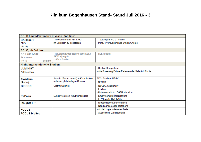### **Klinikum Bogenhausen Stand- Stand Juli 2016 - 3**

| SCLC limited/extensive disease, 2nd line: |                                      |                                                        |  |  |  |  |  |  |  |
|-------------------------------------------|--------------------------------------|--------------------------------------------------------|--|--|--|--|--|--|--|
| CA209331                                  | - Nivolumab (anti-PD-1 AK)           | - Testung auf PD-L1 Status                             |  |  |  |  |  |  |  |
| <b>BMS</b>                                | im Vergleich zu Topotecan            | - mind. 4 vorausgehende Zyklen Chemo                   |  |  |  |  |  |  |  |
| (Ph III)                                  |                                      |                                                        |  |  |  |  |  |  |  |
| SCLC, ab 3rd line:                        |                                      |                                                        |  |  |  |  |  |  |  |
| <b>SCRX001-002</b>                        | - Rovalpituzumab tesirine (anti-DLL3 | - DLL3 positiv                                         |  |  |  |  |  |  |  |
| Stemcentrx                                | AK-Konjungat)                        |                                                        |  |  |  |  |  |  |  |
| (Ph II)<br>geplant                        | - offene Studie                      |                                                        |  |  |  |  |  |  |  |
| Nicht-interventionelle Studien:           |                                      |                                                        |  |  |  |  |  |  |  |
| <b>LUMINIST</b>                           |                                      | - Beobachtungsstudie                                   |  |  |  |  |  |  |  |
| AstraZeneca                               |                                      | - alle Screening Failure Patienten der Select-1 Studie |  |  |  |  |  |  |  |
|                                           |                                      |                                                        |  |  |  |  |  |  |  |
| <b>AVAdeno</b>                            | Avastin (Bevacizumab) in Kombination | ADC, Stadium IIIB-IV                                   |  |  |  |  |  |  |  |
| (Roche)                                   | mit einer platinhaltigen Chemo       | - Erstlinie                                            |  |  |  |  |  |  |  |
| <b>GIDEON</b>                             | Giotrif (Afatinib)                   | - NSCLC, Stadium IV                                    |  |  |  |  |  |  |  |
|                                           |                                      | - Erstlinie                                            |  |  |  |  |  |  |  |
|                                           |                                      | - Patienten mit akt. EGFR Mutation                     |  |  |  |  |  |  |  |
| <b>RePneu</b>                             | Lungenvolumen-reduktionsspirale      | - Emphysem mit Überblähung                             |  |  |  |  |  |  |  |
|                                           |                                      | - FEV1<45%, RV>175%                                    |  |  |  |  |  |  |  |
| <b>Insights IPF</b>                       |                                      | - idiopathische Lungenfibrose                          |  |  |  |  |  |  |  |
|                                           |                                      | - Neudiagnose oder bestehend                           |  |  |  |  |  |  |  |
| <b>FOCUS</b>                              |                                      | - akute Lungenarterienembolie                          |  |  |  |  |  |  |  |
| <b>FOCUS bioSeq</b>                       |                                      | - Ausschluss: Zufallsbefund                            |  |  |  |  |  |  |  |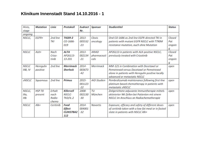#### **Klinikum Innenstadt Stand 14.10.2016 - <sup>1</sup>**

| Histo,<br>stage                                                                         | <b>Mutation</b><br>Linie                                                                          |                                   | Protokoll                               | Eudract<br>Nr.              | Sponsor                             | <b>Studientitel</b>                                                                                                                                                       |                              |  |  |  |  |
|-----------------------------------------------------------------------------------------|---------------------------------------------------------------------------------------------------|-----------------------------------|-----------------------------------------|-----------------------------|-------------------------------------|---------------------------------------------------------------------------------------------------------------------------------------------------------------------------|------------------------------|--|--|--|--|
| ongoing                                                                                 |                                                                                                   |                                   |                                         |                             |                                     |                                                                                                                                                                           |                              |  |  |  |  |
| NSCLC,                                                                                  | EGFR+                                                                                             | 2nd line<br>TKI                   | <b>TIGER-2</b><br>$CO - 1686 -$<br>019  | $2013-$<br>005532<br>$-23$  | Clovis<br>oncology                  | Oral CO-1686 as 2nd line EGFR-directed TKI in<br>patients with mutant EGFR NSCLC with T790M<br>resistance mutation, auch ohne Mutation                                    | Closed<br>Pat<br>ongoin<br>g |  |  |  |  |
| <b>NSCLC</b>                                                                            | $ALK+$<br>Nach<br><b>ALTA</b><br>AP26113-<br>Crizo-<br>tinib<br>13-201                            |                                   |                                         |                             | <b>ARIAD</b><br>pharmaceuti<br>cals | AP26113 in patients with ALK-positive NSCLC,<br>previously treated with Crizotinib                                                                                        | Closed<br>Pat<br>ongoin<br>q |  |  |  |  |
| <b>NSCLC</b><br>IIIB, IV                                                                | 2nd line<br><b>Merrimack</b><br>Heregulin<br>positive<br>Sherlock                                 |                                   |                                         |                             | Merrimack                           | MM-121 in Combination with Docetaxel or<br>Pemetrexed versus Docetaxel or Pemetrexed<br>alone in patients with Heregulin positive locally<br>advanced or metastatic NSCLC | open                         |  |  |  |  |
| <b>SNSCLC</b>                                                                           | 2nd line<br>$2015 -$<br>Primus<br>AIO-Studien<br>Squamous<br>001123<br>$-22$<br>metastatic sNSCLC |                                   |                                         |                             |                                     | Pembrolizumab maintenance following first-line<br>platinum based chemotherapy in patients with                                                                            | open                         |  |  |  |  |
| NSCLC,<br>Illa,<br>IIIb                                                                 | <b>HSP 70</b><br>present                                                                          | Erhalt<br>nach<br>Radio-<br>chemo | Killercell<br>NSCLC-<br><b>TKD/IL-2</b> | 2008-<br>002130<br>$-30$    | TU<br>München                       | Zielgerichtete adjuvante Immuntherapie mittels<br>aktivierter NK-Zellen bei Patienten mit einem<br>NSCLC im Anschluss an Radiochemotherapie                               | open                         |  |  |  |  |
| <b>NSCLC</b><br>$Alk+$<br>Ceritinib<br>Food<br><b>Effect</b><br><b>CLDK378A2</b><br>112 |                                                                                                   |                                   |                                         | $2014 -$<br>004001<br>$-32$ | <b>Novartis</b>                     | Exposure, efficacy and safety of different doses<br>of ceritinib taken with a low-fat meal or in fasted<br>state in patients with NSCLC Alk+                              | open                         |  |  |  |  |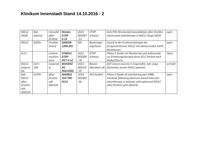#### **Klinikum Innenstadt Stand 14.10.2016 - <sup>2</sup>**

| <b>NSCLC</b><br>IIIA/B                                                                  | Not<br>defined | Consolid<br>after<br>firstline        | <b>Nicolas</b><br><b>ETOP</b><br>$6 - 14$ | 2014-<br>005097<br>$-11$    | <b>ETOP</b><br>Schweiz  | Anti-PD1 Nivolumab Consolidation after firstline<br>chemo and radiotherapy in NSCLC Stage IIIA/B                                                                       | open    |
|-----------------------------------------------------------------------------------------|----------------|---------------------------------------|-------------------------------------------|-----------------------------|-------------------------|------------------------------------------------------------------------------------------------------------------------------------------------------------------------|---------|
| <b>NSCLC</b><br>$EGFR+$<br>Firstline<br><b>GIDEON</b><br>1200.205<br>Giotrif            |                |                                       |                                           | <b>NIS</b>                  | Boehringer<br>Ingelheim | Giotrif in der Erstlinientherapie des<br>fortgeschrittenen NSCLC mit aktivierenden EGFR-<br><b>Mutationen</b>                                                          | open    |
| SCLC<br><b>STIMULI</b><br>Limited<br>mainten<br><b>ETOP</b><br><b>IFCT 4-12</b><br>ance |                |                                       |                                           | $2013 -$<br>002609<br>$-78$ | <b>ETOP</b><br>Schweiz  | Phase II Studie mit Nivolumab und Ipilimumab<br>zur Erhaltungstherapie beim SCLC limited nach<br>Radio/Chemo                                                           | Open    |
| <b>NSCLC</b><br>inopera<br>ble                                                          | EGF<br>250     | inoperab<br>le                        | <b>BIOVEN2</b><br>BV<br>NSCLC002          | $2013 -$<br>005335<br>$-25$ | Bioven<br>Aberdeen UK   | EGF Cancer vaccine in inoperable, late stage<br>biomarker positiv NSCLC patients                                                                                       | on hold |
| Adv.<br><b>NSCLC</b><br>after<br>firstline<br>wih<br>Afatinib                           | EGFR+          | after<br>firstline<br>wih<br>Afatinib | <b>MARBLE</b><br>AIO-TRK-<br>0114         | 2014-<br>001983<br>$-36$    | AIO Studien             | Phase II Studie of maintaining pan-ERBB<br>blockade following platinum-based induction<br>chemtherapy in patients with advanced NSCLC<br>after firstline with Afatinib | open    |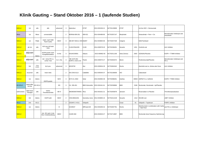#### Klinik Gauting - Stand Oktober 2016 - 1 (laufende Studien)

| <b>NSCLC</b>   | 1st                     | alle             | alle                                     | advanced      | 3              | Splendour                     | <b>ETOP</b>                  | 2013-003156-21 | NCT02129699 | <b>ETOP</b>  |      | 1st line SOC + Denosumab                                                  |                                            |
|----------------|-------------------------|------------------|------------------------------------------|---------------|----------------|-------------------------------|------------------------------|----------------|-------------|--------------|------|---------------------------------------------------------------------------|--------------------------------------------|
| Meso           | 1st                     | Meso             | unresectable                             |               | 2              | MORAb-009-201                 | 009-021                      | 2014-004489-85 | NCT02357147 | Morphotek    |      | Amaxutimab + Pem + Cis                                                    | Monoklonaler Antikörper anti<br>mesothelin |
| <b>NSCLC</b>   | 1st                     | Platte           | maint, nach NAB<br>Pacli+Carbo           | IIIb/IV       | 3              | ABI-007-NSCLC-003 Abi007      |                              | 2014-003804-66 | NCT02027428 | Celgene      |      | NAB-Paclitaxel                                                            |                                            |
| <b>NSCLC</b>   | ab 1st                  | alle             | ALK pos mit brain<br>mets                |               | 2              | CLDK378A2205                  | <b>CLDK</b>                  | 2014-000578-20 | NCT02336451 | Novartis     | 1201 | Ceritinib oral                                                            | <b>ALK Inhibitor</b>                       |
| <b>NSCLC</b>   | adjuvant                | Adeno            | EGFR positiv nach<br>Komplettresektion   | lb-Illa       | 3              | D5164C00001                   | Adaura                       | 2015-000662-65 | NCT02511106 | Astra Zeneca | 2603 | AZD9291/Placebo                                                           | EGFR + T790M Inhibitor                     |
| <b>NSCLC</b>   | adjuvant                | alle             | mit + ohne PD L1,<br>vorher Test         | Ib, II, IIIa  | 3              | MK-3475-091<br>EORTC-1416-LCG | Pearls                       | 2015-000575-27 | NCT02504372 | Merck        |      | Pembrolizumab/Placebo                                                     | Monoklonaler Antikörper anti<br>PD-1       |
| <b>NSCLC</b>   | 3rd                     | Crizo<br>vorbeh. | ALK pos.                                 | advanced      | 3              | MO29750                       | Alur                         | 2015-000634-29 | NCT02604342 | Roche        |      | Alecitinib oral vs. Alimta oder Doce                                      | <b>ALK Inhibitor</b>                       |
| <b>NSCLC</b>   | recurrent               | alle             | brain mets                               |               | $\overline{2}$ | AIO-ZNS-0113                  | lCaBaMet                     | 2013-005545-37 | NCT02166658 | AIO          |      | Cabacitaxel                                                               |                                            |
| <b>NSCLC</b>   | 1st                     | Adeno            | <b>EGFR positiv</b>                      | IIb/IV        | 3              | 8273-CL-0302                  | Solar                        | 2015-002894-39 | NCT02588261 | Astellas     |      | 49003 ASP8273 vs. Gefitinib                                               | EGFR+T790M inhibitor                       |
| <b>ED-SCLC</b> | maint after<br>1st line | <b>ED-SCLC</b>   |                                          | ED            | 3              | CA 209-451                    | <b>BMS Kleinzeller</b>       | 2015-002441-61 | NCT02538666 | <b>BMS</b>   | 0166 | Nivolumab, Nivolumab + Ipi/Placebo                                        |                                            |
| solid tumors   | Start neue<br>Therapie  | alle             | hohes<br>Thromboserisiko                 | <b>IIB-IV</b> |                | 39039039STM4001               | Riva                         | 2015-001631-21 | NCT02555878 | Janssen      |      | Rivaroxaban vs Placebo                                                    | Thromboseprophylaxe                        |
| <b>NSCLC</b>   | 3rd                     | Adeno            | <b>EGFR</b> wild                         | IIIb/IV       | $\overline{2}$ | CINC280A2201                  | Geometry mono 2014-003850-15 |                | NCT02414139 | Novartis     | 1314 | INC280 oral                                                               | cMET Inhibitor                             |
| <b>SCLC</b>    | 2nd                     | <b>SCLC</b>      |                                          |               | $\overline{2}$ | CESAR C-II-011                | Veliparib                    |                |             | Cesar        | 01   | Veliparib + Topotecan                                                     | PARP1 inhibitor                            |
| <b>NSCLC</b>   | 1st                     | Adeno            |                                          | IV            |                | GO29537                       | IMPower130                   | 2014-003206-32 | NCT02367781 | Roche        |      | Atetolizumab in combination with Carbo anti PD-L1 Antikörper<br>Nab-Pacli |                                            |
| <b>NSCLC</b>   |                         |                  | min. SD nach 4 mts<br>Nivo Vorbehandlung | IIIB/IV       |                | CA209-384                     |                              | 2015-004633-27 | NCT02713867 | <b>BMS</b>   |      | Nivolumab dose frequency Optimierung                                      |                                            |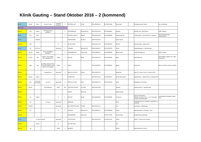### **Klinik Gauting – Stand Oktober 2016 – 2 (kommend)**

| <b>SCLC</b>  | ab 3rd           | <b>SCLC</b>                   | mit DLL3 expr.                                                                                                              | relapsed/<br>refractory | $\overline{2}$    | SCRX001-002      | Trinity        | 2015-004506-42 | NCT02674568        | Stemcentrx                 | Rovalpituzumab Tesirine                                                                  | DLL3 Antikörper                                 |
|--------------|------------------|-------------------------------|-----------------------------------------------------------------------------------------------------------------------------|-------------------------|-------------------|------------------|----------------|----------------|--------------------|----------------------------|------------------------------------------------------------------------------------------|-------------------------------------------------|
| kommend      |                  |                               |                                                                                                                             |                         |                   |                  |                |                |                    |                            |                                                                                          |                                                 |
| <b>NSCLC</b> | 2nd              | Adeno                         | EGFR pos Cmet<br>aplifiziert                                                                                                |                         | $\mathbf{3}$      | CINC280B2201     | Geometry duo   | 2015-001241-84 | CT02468661         | Novartis                   | INC280 oral + Erlo/Chemo                                                                 | cMET Inhibitor                                  |
| <b>SCLC</b>  | 2nd              | SCLC                          |                                                                                                                             |                         | $\mathbf{3}$      | PM1183-C-003-14  | Atlantis       | 2015-001641-89 | VCT02566993        | Pharma Mar SA              | Lurbinectedin + Doxorubincin vs Toptecan                                                 | Chemoalternative bei<br>Platinresistenz         |
| <b>SCLC</b>  |                  | refraktär                     |                                                                                                                             |                         |                   | D419QC00002      | AZ SCLC        | 2016-001202-42 |                    | Astra Zeneca               |                                                                                          |                                                 |
| <b>NSCLC</b> | 2nd              |                               |                                                                                                                             | IV                      | $\overline{2}$    | I4T-MC-JVDN      |                | 2016-001317-25 | NCT02831491        | Eli-Lilly                  | Ramucirumab + weekly Doce                                                                |                                                 |
| <b>SCLC</b>  | 1st              | ED-SCLC                       |                                                                                                                             | advanced                | $\mathbf{3}$      | GO30081          | IMPower133     | 2015-004861-97 | <b>NCT02763579</b> | Roche                      | Carbo/Etoposid +/- Atezolizumab                                                          |                                                 |
| <b>NSCLC</b> | ab 2nd           | Adeno                         | Exxon 14 skipping<br>alteration                                                                                             |                         | $\overline{2}$    | MS200095-0022    | Project blue   | 2015-005696-24 | VCT02864992        | Merck KGaA                 | Tepotinib single arm                                                                     | <b>CMET</b> Inhibitor                           |
| <b>NSCLC</b> | ab 2nd           | alle                          | EGFR + ALK negativ,<br>MET Mutation vorh.                                                                                   | IIIb/IV                 | $\overline{2}$    | 265-109          | Mirati         | 2015-002070-21 | NCT02544633        | Mirati                     | MGCD265 oral                                                                             | RTK Inhibitor, targets: AxI + MET<br>Rezeptoren |
| <b>NSCLC</b> | egal             | alle                          | mit NTRK1, NTRK2, NTRK3 or<br>ROS1 Rearrangements; naïve<br>o crizotinib, ceritinib, and other<br>NTRK and ROS1 inhibitors. | IIIb/IV                 | $\overline{2}$    | Strtrk2          |                | 2015-003385-84 | NCT02568267        | Ignyta                     | Entrectinib                                                                              | Pan-Trk, ROS1, and ALK inhibitor                |
| <b>NSCLC</b> |                  |                               | Heregulin pos.                                                                                                              | advanced                | $\overline{2}$    | MM-121-01-02-09  | Sherloc        | 2014-003673-42 |                    | Merrimack                  | MM-121+ Doce or Pem vs. Doce or Pem                                                      |                                                 |
| <b>NSCLC</b> | ab 2nd           | Adeno                         |                                                                                                                             |                         |                   | CanStem43L       |                | 2016-002718-32 | NCT02826161        | <b>Boston Biomedical</b>   | Napabucasin + weekly Pacli vs. Weekly Pacli                                              |                                                 |
| <b>NSCLC</b> | 2nd              | ohne Alk<br><b>TKI Vorbeh</b> | ALK pos                                                                                                                     | advanced                | $\mathbf{3}$      | AP26113-13-301   | Ariad          | 2015-003447-19 | NCT02737501        | Ariad                      | Brigantinib vs Crizotinib                                                                |                                                 |
| <b>NSCLC</b> | ab 3rd           |                               | ohne Mutation                                                                                                               | IIIb/IV                 | 1 <sub>b</sub> /2 | 54767414LUC2001  | <b>LUC2001</b> | 2016-002579-83 |                    | Janssen                    | Daratumumab +/- Atezolizumab                                                             |                                                 |
| <b>NSCLC</b> |                  |                               |                                                                                                                             |                         |                   | 2016/01          | NEOLung        |                |                    | NewOncology                |                                                                                          |                                                 |
| <b>NSCLC</b> | 1st              | Adeno                         |                                                                                                                             | ${\sf IV}$              | $\overline{2}$    | M18-007          | Denali         | 2014-003356-30 | NCT02259582        | Oncomed                    | Carbo, Pemetrexed +<br>Placebo vs Carbo, Pem + 1 or 2 Truncated<br>Courses of Demcizumab | monoklonaler Antikörper, target:<br>DLL4        |
| <b>NSCLC</b> | 1st              |                               | ALK pos                                                                                                                     | advanced                | $\mathbf{3}$      | B9991008         |                |                |                    | Pfizer                     | Lorlatinib mono vs. Lorlatinib + Avelumab vs.<br>Crizotinib                              |                                                 |
| <b>SCLC</b>  | 2nd/3rd          |                               |                                                                                                                             | advanced                |                   | AIO-YMO/TRK-0415 | <b>FORCE</b>   | 2015-005741-31 |                    | AIO                        | Nivolumab + radiotherapy                                                                 |                                                 |
| <b>NSCLC</b> | 1st              |                               |                                                                                                                             | ${\sf IV}$              | 3                 | GO29431          | IMPower110     | 2014-003083-21 | NCT02409342        | Roche                      | Atezolizumab vs. Cis/Carbo + Pem                                                         |                                                 |
| <b>NSCLC</b> |                  |                               |                                                                                                                             |                         |                   | D5160R00005      | Panorama       |                | NCT02777658        | Astra-Zeneca               | Beobachtung, Datendoku                                                                   |                                                 |
| <b>SCLC</b>  | je nach Kohorte! |                               | advanced                                                                                                                    | $\overline{1}$          | VX12-970-001      |                  | 2012-003126-25 | NCT02157792    | Vertex             | VX970 + Chemo 1st in human |                                                                                          |                                                 |
| <b>NSCLC</b> |                  | Adeno                         |                                                                                                                             | IV                      |                   | AIO-TRK-0215     |                |                |                    | AIO                        |                                                                                          |                                                 |
| <b>NSCLC</b> | 1st              |                               |                                                                                                                             | IIIb/IV                 | 3                 | MO29872          |                |                |                    | Roche                      | Atezolizumab vs.Chemo                                                                    |                                                 |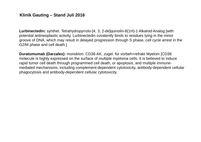#### **Klinik Gauting – Stand Juli 2016**

**Lurbinectedin:** synthet. Tetrahydropyrrolo-[4, 3, 2-de]quinolin-8(1H)-1 Alkaloid Analog [with potential antineoplastic activity. Lurbinectedin covalently binds to residues lying in the minor groove of DNA, which may result in delayed progression through S phase, cell cycle arrest in the G2/M phase and cell death.]

**Duratumumab (Darzalex):** monoklon. CD38-AK, zugel. für vorbeh+refrakt Myelom [CD38 molecule is highly expressed on the surface of multiple myeloma cells. It is believed to induce rapid tumor cell death through programmed cell death, or apoptosis, and multiple immunemediated mechanisms, including complement-dependent cytotoxicity, antibody-dependent cellular phagocytosis and antibody-dependent cellular cytotoxicity.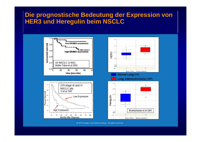## **Die prognostische Bedeutung der Expression von HER3 und Heregulin beim NSCLC**



8 2010 Amgen and Daiichi-Sankyo. All rights reserved.